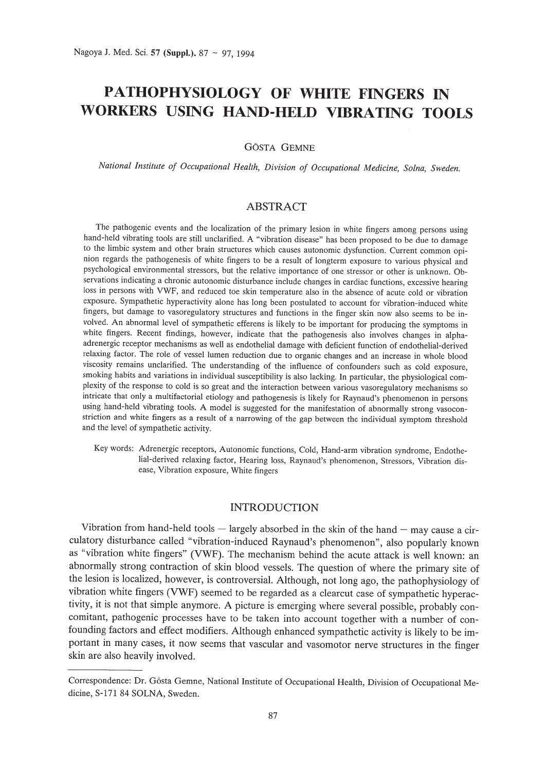# **PATHOPHYSIOLOGY OF WHITE FINGERS IN WORKERS USING HAND-HELD VIBRATING TOOLS**

GÖSTA GEMNE

*National Institute of Occupational Health, Division of Occupational Medicine, Solna, Sweden.*

### ABSTRACT

The pathogenic events and the localization of the primary lesion in white fingers among persons using hand-held vibrating tools are still unclarified. A "vibration disease" has been proposed to be due to damage to the limbic system and other brain structures which causes autonomic dysfunction. Current common opinion regards the pathogenesis of white fingers to be a result of longterm exposure to various physical and psychological environmental stressors, but the relative importance of one stressor or other is unknown. Observations indicating a chronic autonomic disturbance include changes in cardiac functions, excessive hearing loss in persons with VWF, and reduced toe skin temperature also in the absence of acute cold or vibration exposure. Sympathetic hyperactivity alone has long been postulated to account for vibration-induced white fingers, but damage to vasoregulatory structures and functions in the finger skin now also seems to be involved. An abnormal level of sympathetic efferens is likely to be important for producing the symptoms in white fingers. Recent findings, however, indicate that the pathogenesis also involves changes in alphaadrenergic receptor mechanisms as well as endothelial damage with deficient function of endothelial-derived relaxing factor. The role of vessel lumen reduction due to organic changes and an increase in whole blood viscosity remains unclarified. The understanding of the influence of confounders such as cold exposure, smoking habits and variations in individual susceptibility is also lacking. In particular, the physiological complexity of the response to cold is so great and the interaction between various vasoregulatory mechanisms so intricate that only a multifactorial etiology and pathogenesis is likely for Raynaud's phenomenon in persons using hand-held vibrating tools. A model is suggested for the manifestation of abnormally strong vasoconstriction and white fingers as a result of a narrowing of the gap between the individual symptom threshold and the level of sympathetic activity.

Key words: Adrenergic receptors, Autonomic functions, Cold, Hand-arm vibration syndrome, Endothelial-derived relaxing factor, Hearing loss, Raynaud's phenomenon, Stressors, Vibration disease, Vibration exposure, White fingers

### INTRODUCTION

Vibration from hand-held tools  $-$  largely absorbed in the skin of the hand  $-$  may cause a circulatory disturbance called "vibration-induced Raynaud's phenomenon", also popularly known as "vibration white fingers" (VWF). The mechanism behind the acute attack is well known: an abnormally strong contraction of skin blood vessels. The question of where the primary site of the lesion is localized, however, is controversial. Although, not long ago, the pathophysiology of vibration white fingers (VWF) seemed to be regarded as a cIearcut case of sympathetic hyperactivity, it is not that simple anymore. A picture is emerging where several possible, probably concomitant, pathogenic processes have to be taken into account together with a number of confounding factors and effect modifiers. Although enhanced sympathetic activity is likely to be important in many cases, it now seems that vascular and vasomotor nerve structures in the finger skin are also heavily involved.

Correspondence: Dr. G6sta Gemne, National Institute of Occupational Health, Division of Occupational Medicine, S-l71 84 SOLNA, Sweden.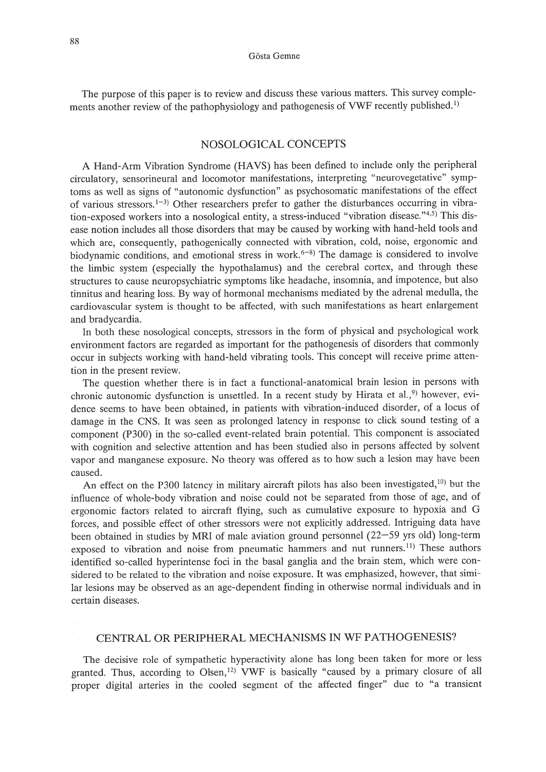The purpose of this paper is to review and discuss these various matters. This survey complements another review of the pathophysiology and pathogenesis of VWF recently published.<sup>1)</sup>

### NOSOLOGICAL CONCEPTS

A Hand-Arm Vibration Syndrome (HAVS) has been defined to include only the peripheral circulatory, sensorineural and locomotor manifestations, interpreting "neurovegetative" symptoms as well as signs of "autonomic dysfunction" as psychosomatic manifestations of the effect of various stressors.<sup>1-3</sup>) Other researchers prefer to gather the disturbances occurring in vibration-exposed workers into a nosological entity, a stress-induced "vibration disease."4.5) This disease notion includes all those disorders that may be caused by working with hand-held tools and which are, consequently, pathogenically connected with vibration, cold, noise, ergonomic and biodynamic conditions, and emotional stress in work.<sup> $6-8$ </sup>) The damage is considered to involve the limbic system (especially the hypothalamus) and the cerebral cortex, and through these structures to cause neuropsychiatric symptoms like headache, insomnia, and impotence, but also tinnitus and hearing loss. By way of hormonal mechanisms mediated by the adrenal medulla, the cardiovascular system is thought to be affected, with such manifestations as heart enlargement and bradycardia.

In both these nosological concepts, stressors in the form of physical and psychological work environment factors are regarded as important for the pathogenesis of disorders that commonly occur in subjects working with hand-held vibrating tools. This concept will receive prime attention in the present review.

The question whether there is in fact a functional-anatomical brain lesion in persons with chronic autonomic dysfunction is unsettled. In a recent study by Hirata et al.,<sup>9)</sup> however, evidence seems to have been obtained, in patients with vibration-induced disorder, of a locus of damage in the CNS. It was seen as prolonged latency in response to click sound testing of a component (P300) in the so-called event-related brain potential. This component is associated with cognition and selective attention and has been studied also in persons affected by solvent vapor and manganese exposure. No theory was offered as to how such a lesion may have been caused.

An effect on the P300 latency in military aircraft pilots has also been investigated, $10$ ) but the influence of whole-body vibration and noise could not be separated from those of age, and of ergonomic factors related to aircraft flying, such as cumulative exposure to hypoxia and G forces, and possible effect of other stressors were not explicitly addressed. Intriguing data have been obtained in studies by MRI of male aviation ground personnel (22-59 yrs old) long-term exposed to vibration and noise from pneumatic hammers and nut runners.<sup>11)</sup> These authors identified so-called hyperintense foci in the basal ganglia and the brain stem, which were considered to be related to the vibration and noise exposure. It was emphasized, however, that similar lesions may be observed as an age-dependent finding in otherwise normal individuals and in certain diseases.

### CENTRAL OR PERIPHERAL MECHANISMS IN WF PATHOGENESIS?

The decisive role of sympathetic hyperactivity alone has long been taken for more or less granted. Thus, according to Olsen,<sup>12)</sup> VWF is basically "caused by a primary closure of all proper digital arteries in the cooled segment of the affected finger" due to "a transient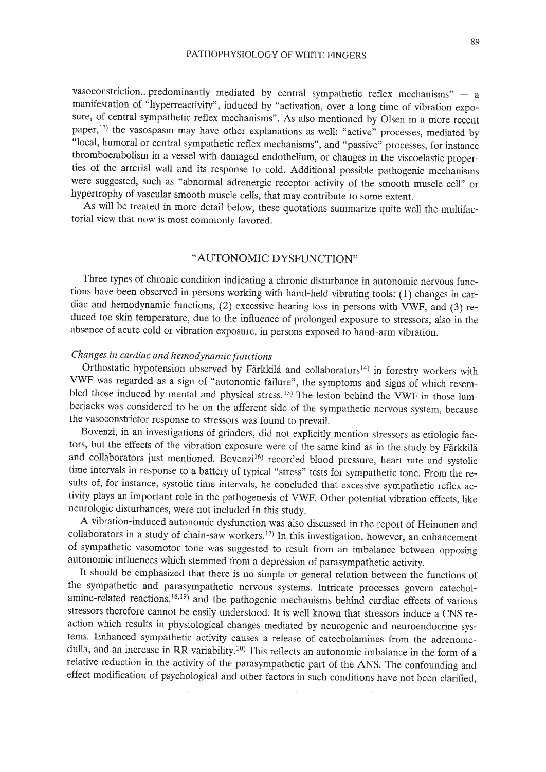vasoconstriction...predominantly mediated by central sympathetic reflex mechanisms"  $-$  a manifestation of "hyperreactivity", induced by "activation, over a long time of vibration exposure, of central sympathetic reflex mechanisms". As also mentioned by Olsen in a more recent paper,13) the vasospasm may have other explanations as well: "active" processes, mediated by "local, humoral or central sympathetic reflex mechanisms", and "passive" processes, for instance thromboembolism in a vessel with damaged endothelium, or changes in the viscoelastic properties of the arterial wall and its response to cold. Additional possible pathogenic mechanisms were suggested, such as "abnormal adrenergic receptor activity of the smooth muscle cell" or hypertrophy of vascular smooth muscle cells, that may contribute to some extent.

As will be treated in more detail below, these quotations summarize quite well the multifactorial view that now is most commonly favored.

### "AUTONOMIC DYSFUNCTION"

Three types of chronic condition indicating a chronic disturbance in autonomic nervous functions have been observed in persons working with hand-held vibrating tools: (1) changes in cardiac and hemodynamic functions, (2) excessive hearing loss in persons with VWF, and (3) reduced toe skin temperature, due to the influence of prolonged exposure to stressors, also in the absence of acute cold or vibration exposure, in persons exposed to hand-arm vibration.

### *Changes in cardiac and hemodynamic functions*

Orthostatic hypotension observed by Färkkilä and collaborators<sup>14)</sup> in forestry workers with VWF was regarded as a sign of "autonomic failure", the symptoms and signs of which resembled those induced by mental and physical stress. 15) The lesion behind the VWF in those lumberjacks was considered to be on the afferent side of the sympathetic nervous system, because the vasoconstrictor response to stressors was found to prevail.

Bovenzi, in an investigations of grinders, did not explicitly mention stressors as etiologic factors, but the effects of the vibration exposure were of the same kind as in the study by Färkkilä and collaborators just mentioned. Bovenzi<sup>16)</sup> recorded blood pressure, heart rate and systolic time intervals in response to a battery of typical "stress" tests for sympathetic tone. From the results of, for instance, systolic time intervals, he concluded that excessive sympathetic reflex activity plays an important role in the pathogenesis of VWF. Other potential vibration effects, like neurologic disturbances, were not included in this study.

A vibration-induced autonomic dysfunction was also discussed in the report of Heinonen and collaborators in a study of chain-saw workers.<sup>17)</sup> In this investigation, however, an enhancement of sympathetic vasomotor tone was suggested to result from an imbalance between opposing autonomic influences which stemmed from a depression of parasympathetic activity.

It should be emphasized that there is no simple or general relation between the functions of the sympathetic and parasympathetic nervous systems. Intricate processes govern catecholamine-related reactions,18.19) and the pathogenic mechanisms behind cardiac effects of various stressors therefore cannot be easily understood. It is well known that stressors induce a CNS reaction which results in physiological changes mediated by neurogenic and neuroendocrine systems. Enhanced sympathetic activity causes a release of catecholamines from the adrenomedulla, and an increase in RR variability.<sup>20)</sup> This reflects an autonomic imbalance in the form of a relative reduction in the activity of the parasympathetic part of the ANS. The confounding and effect modification of psychological and other factors in such conditions have not been clarified,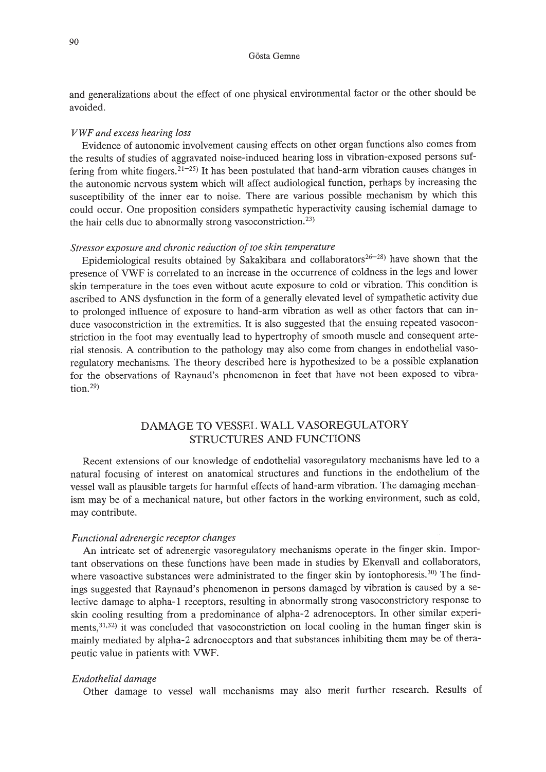and generalizations about the effect of one physical environmental factor or the other should be avoided.

#### *VWF and excess hearing loss*

Evidence of autonomic involvement causing effects on other organ functions also comes from the results of studies of aggravated noise-induced hearing loss in vibration-exposed persons suffering from white fingers.<sup>21-25)</sup> It has been postulated that hand-arm vibration causes changes in the autonomic nervous system which will affect audiological function, perhaps by increasing the susceptibility of the inner ear to noise. There are various possible mechanism by which this could occur. One proposition considers sympathetic hyperactivity causing ischemial damage to the hair cells due to abnormally strong vasoconstriction.<sup>23)</sup>

#### *Stressor exposure* and *chronic reduction of toe skin temperature*

Epidemiological results obtained by Sakakibara and collaborators<sup>26-28)</sup> have shown that the presence of VWF is correlated to an increase in the occurrence of coldness in the legs and lower skin temperature in the toes even without acute exposure to cold or vibration. This condition is ascribed to ANS dysfunction in the form of a generally elevated level of sympathetic activity due to prolonged influence of exposure to hand-arm vibration as well as other factors that can induce vasoconstriction in the extremities. It is also suggested that the ensuing repeated vasoconstriction in the foot may eventually lead to hypertrophy of smooth muscle and consequent arterial stenosis. A contribution to the pathology may also come from changes in endothelial vasoregulatory mechanisms. The theory described here is hypothesized to be a possible explanation for the observations of Raynaud's phenomenon in feet that have not been exposed to vibra- $\frac{1}{2}$  tion.<sup>29)</sup>

### DAMAGE TO VESSEL WALL VASOREGULATORY STRUCTURES AND FUNCTIONS

Recent extensions of our knowledge of endothelial vasoregulatory mechanisms have led to a natural focusing of interest on anatomical structures and functions in the endothelium of the vessel wall as plausible targets for harmful effects of hand-arm vibration. The damaging mechanism may be of a mechanical nature, but other factors in the working environment, such as cold, may contribute.

#### *Functional adrenergic receptor changes*

An intricate set of adrenergic vasoregulatory mechanisms operate in the finger skin. Important observations on these functions have been made in studies by Ekenvall and collaborators, where vasoactive substances were administrated to the finger skin by iontophoresis.<sup>30)</sup> The findings suggested that Raynaud's phenomenon in persons damaged by vibration is caused by a selective damage to alpha-l receptors, resulting in abnormally strong vasoconstrictory response to skin cooling resulting from a predominance of alpha-2 adrenoceptors. In other similar experiments,<sup>31,32)</sup> it was concluded that vasoconstriction on local cooling in the human finger skin is mainly mediated by alpha-2 adrenoceptors and that substances inhibiting them may be of therapeutic value in patients with VWF.

#### *Endothelial damage*

Other damage to vessel wall mechanisms may also merit further research. Results of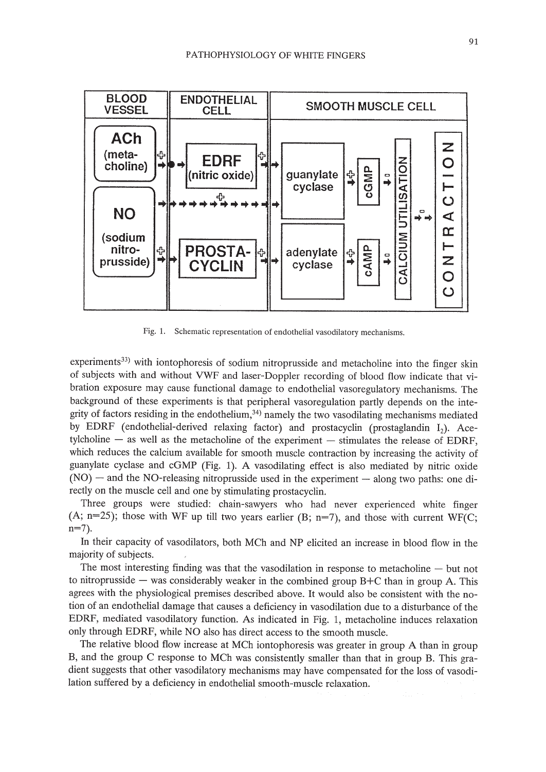

Fig. 1. Schematic representation of endothelial vasodilatory mechanisms.

experiments<sup>33)</sup> with iontophoresis of sodium nitroprusside and metacholine into the finger skin of subjects with and without VWF and laser-Doppler recording of blood flow indicate that vibration exposure may cause functional damage to endothelial vasoregulatory mechanisms. The background of these experiments is that peripheral vasoregulation partly depends on the integrity of factors residing in the endothelium, $34$ ) namely the two vasodilating mechanisms mediated by EDRF (endothelial-derived relaxing factor) and prostacyclin (prostaglandin  $I_2$ ), Acetylcholine  $-$  as well as the metacholine of the experiment  $-$  stimulates the release of EDRF, which reduces the calcium available for smooth muscle contraction by increasing the activity of guanylate cyclase and cGMP (Fig. 1). A vasodilating effect is also mediated by nitric oxide  $(NO)$  - and the NO-releasing nitroprusside used in the experiment - along two paths: one directly on the muscle cell and one by stimulating prostacyclin.

Three groups were studied: chain-sawyers who had never experienced white finger (A;  $n=25$ ); those with WF up till two years earlier (B;  $n=7$ ), and those with current WF(C;  $n=7$ ).

In their capacity of vasodilators, both MCh and NP elicited an increase in blood flow in the majority of subjects.

The most interesting finding was that the vasodilation in response to metacholine  $-$  but not to nitroprusside  $-$  was considerably weaker in the combined group B+C than in group A. This agrees with the physiological premises described above. It would also be consistent with the notion of an endothelial damage that causes a deficiency in vasodilation due to a disturbance of the EDRF, mediated vasodilatory function. As indicated in Fig. 1, metacholine induces relaxation only through EDRF, while NO also has direct access to the smooth muscle.

The relative blood flow increase at MCh iontophoresis was greater in group A than in group B, and the group C response to MCh was consistently smaller than that in group B. This gradient suggests that other vasodilatory mechanisms may have compensated for the loss of vasodilation suffered by a deficiency in endothelial smooth-muscle relaxation.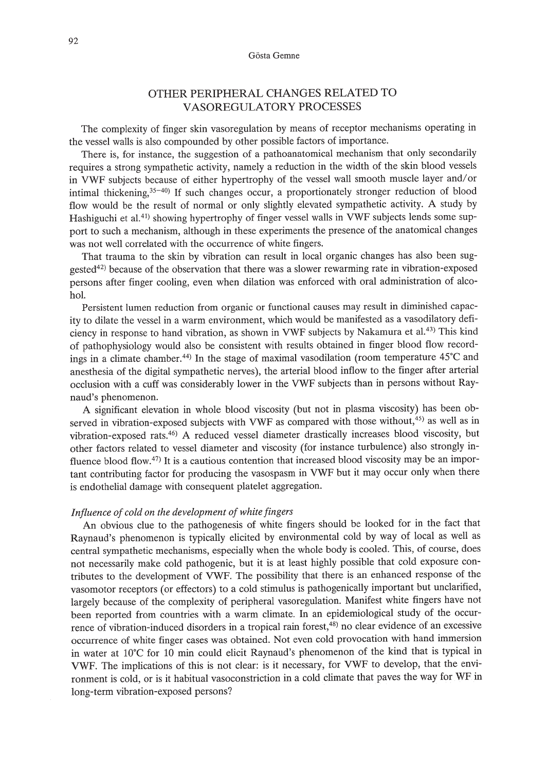### OTHER PERIPHERAL CHANGES RELATED TO VASOREGULATORY PROCESSES

The complexity of finger skin vasoregulation by means of receptor mechanisms operating in the vessel walls is also compounded by other possible factors of importance.

There is, for instance, the suggestion of a pathoanatomical mechanism that only secondarily requires a strong sympathetic activity, namely a reduction in the width of the skin blood vessels in VWF subjects because of either hypertrophy of the vessel wall smooth muscle layer and/or intimal thickening,  $35-40$ ) If such changes occur, a proportionately stronger reduction of blood flow would be the result of normal or only slightly elevated sympathetic activity. A study by Hashiguchi et al.<sup>41</sup>) showing hypertrophy of finger vessel walls in VWF subjects lends some support to such a mechanism, although in these experiments the presence of the anatomical changes was not well correlated with the occurrence of white fingers.

That trauma to the skin by vibration can result in local organic changes has also been suggested42) because of the observation that there was a slower rewarming rate in vibration-exposed persons after finger cooling, even when dilation was enforced with oral administration of alcohol.

Persistent lumen reduction from organic or functional causes may result in diminished capacity to dilate the vessel in a warm environment, which would be manifested as a vasodilatory deficiency in response to hand vibration, as shown in VWF subjects by Nakamura et al.<sup>43)</sup> This kind of pathophysiology would also be consistent with results obtained in finger blood flow recordings in a climate chamber.<sup>44)</sup> In the stage of maximal vasodilation (room temperature  $45^{\circ}$ C and anesthesia of the digital sympathetic nerves), the arterial blood inflow to the finger after arterial occlusion with a cuff was considerably lower in the VWF subjects than in persons without Raynaud's phenomenon.

A significant elevation in whole blood viscosity (but not in plasma viscosity) has been observed in vibration-exposed subjects with VWF as compared with those without,<sup>45)</sup> as well as in vibration-exposed rats.46) A reduced vessel diameter drastically increases blood viscosity, but other factors related to vessel diameter and viscosity (for instance turbulence) also strongly influence blood flow. 47) **It** is a cautious contention that increased blood viscosity may be an important contributing factor for producing the vasospasm in VWF but it may occur only when there is endothelial damage with consequent platelet aggregation.

#### *Influence of cold on the development of white fingers*

An obvious clue to the pathogenesis of white fingers should be looked for in the fact that Raynaud's phenomenon is typically elicited by environmental cold by way of local as well as central sympathetic mechanisms, especially when the whole body is cooled. This, of course, does not necessarily make cold pathogenic, but it is at least highly possible that cold exposure contributes to the development of VWF. The possibility that there is an enhanced response of the vasomotor receptors (or effectors) to a cold stimulus is pathogenically important but unclarified, largely because of the complexity of peripheral vasoregulation. Manifest white fingers have not been reported from countries with a warm climate. In an epidemiological study of the occurrence of vibration-induced disorders in a tropical rain forest,<sup>48)</sup> no clear evidence of an excessive occurrence of white finger cases was obtained. Not even cold provocation with hand immersion in water at 10°C for 10 min could elicit Raynaud's phenomenon of the kind that is typical in VWF. The implications of this is not clear: is it necessary, for VWF to develop, that the environment is cold, or is it habitual vasoconstriction in a cold climate that paves the way for WF in long-term vibration-exposed persons?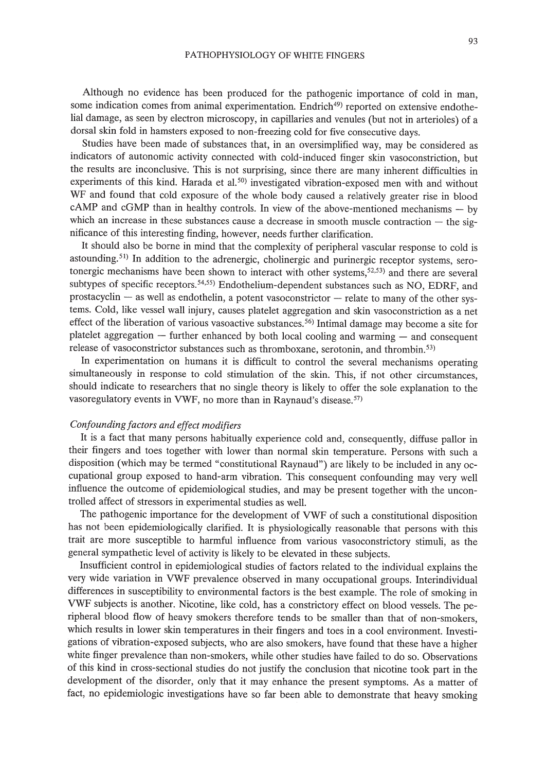Although no evidence has been produced for the pathogenic importance of cold in man, some indication comes from animal experimentation. Endrich<sup>49)</sup> reported on extensive endothelial damage, as seen by electron microscopy, in capillaries and venules (but not in arterioles) of a dorsal skin fold in hamsters exposed to non-freezing cold for five consecutive days.

Studies have been made of substances that, in an oversimplified way, may be considered as indicators of autonomic activity connected with cold-induced finger skin vasoconstriction, but the results are inconclusive. This is not surprising, since there are many inherent difficulties in experiments of this kind. Harada et al.<sup>50)</sup> investigated vibration-exposed men with and without WF and found that cold exposure of the whole body caused a relatively greater rise in blood  $cAMP$  and  $cGMP$  than in healthy controls. In view of the above-mentioned mechanisms  $-$  by which an increase in these substances cause a decrease in smooth muscle contraction  $-$  the significance of this interesting finding, however, needs further clarification.

It should also be borne in mind that the complexity of peripheral vascular response to cold is astounding. 51) In addition to the adrenergic, cholinergic and purinergic receptor systems, serotonergic mechanisms have been shown to interact with other systems, $5^{2,53}$  and there are several subtypes of specific receptors.54,55) Endothelium-dependent substances such as NO, EDRF, and  $prostacyclin - as well as endothelin, a potent vasoconstrictor - relate to many of the other sys$ tems. Cold, like vessel wall injury, causes platelet aggregation and skin vasoconstriction as a net effect of the liberation of various vasoactive substances.<sup>56</sup> Intimal damage may become a site for platelet aggregation  $-$  further enhanced by both local cooling and warming  $-$  and consequent release of vasoconstrictor substances such as thromboxane, serotonin, and thrombin.<sup>53)</sup>

In experimentation on humans it is difficult to control the several mechanisms operating simultaneously in response to cold stimulation of the skin. This, if not other circumstances, should indicate to researchers that no single theory is likely to offer the sole explanation to the vasoregulatory events in VWF, no more than in Raynaud's disease.<sup>57)</sup>

### *Confounding factors and effect modifiers*

It is a fact that many persons habitually experience cold and, consequently, diffuse pallor in their fingers and toes together with lower than normal skin temperature. Persons with such a disposition (which may be termed "constitutional Raynaud") are likely to be included in any occupational group exposed to hand-arm vibration. This consequent confounding may very well influence the outcome of epidemiological studies, and may be present together with the uncontrolled affect of stressors in experimental studies as well.

The pathogenic importance for the development of VWF of such a constitutional disposition has not been epidemiologically clarified. It is physiologically reasonable that persons with this trait are more susceptible to harmful influence from various vasoconstrictory stimuli, as the general sympathetic level of activity is likely to be elevated in these subjects.

Insufficient control in epidemiological studies of factors related to the individual explains the very wide variation in VWF prevalence observed in many occupational groups. Interindividual differences in susceptibility to environmental factors is the best example. The role of smoking in VWF subjects is another. Nicotine, like cold, has a constrictory effect on blood vessels. The peripheral blood flow of heavy smokers therefore tends to be smaller than that of non-smokers, which results in lower skin temperatures in their fingers and toes in a cool environment. Investigations of vibration-exposed subjects, who are also smokers, have found that these have a higher white finger prevalence than non-smokers, while other studies have failed to do so. Observations of this kind in cross-sectional studies do not justify the conclusion that nicotine took part in the development of the disorder, only that it may enhance the present symptoms. As a matter of fact, no epidemiologic investigations have so far been able to demonstrate that heavy smoking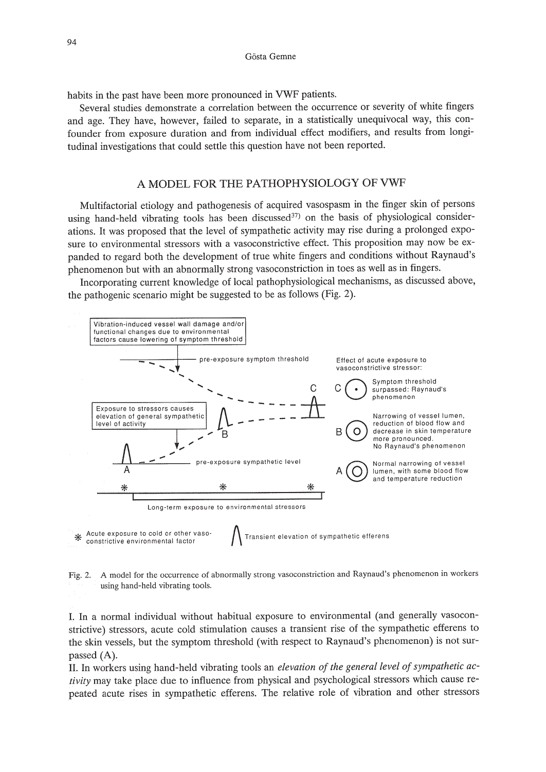habits in the past have been more pronounced in VWF patients.

Several studies demonstrate a correlation between the occurrence or severity of white fingers and age. They have, however, failed to separate, in a statistically unequivocal way, this confounder from exposure duration and from individual effect modifiers, and results from longitudinal investigations that could settle this question have not been reported.

## A MODEL FOR THE PATHOPHYSIOLOGY OF VWF

Multifactorial etiology and pathogenesis of acquired vasospasm in the finger skin of persons using hand-held vibrating tools has been discussed $37$  on the basis of physiological considerations. It was proposed that the level of sympathetic activity may rise during a prolonged exposure to environmental stressors with a vasoconstrictive effect. This proposition may now be expanded to regard both the development of true white fingers and conditions without Raynaud's phenomenon but with an abnormally strong vasoconstriction in toes as well as in fingers.

Incorporating current knowledge of local pathophysiological mechanisms, as discussed above, the pathogenic scenario might be suggested to be as follows (Fig. 2).



Fig. 2. A model for the occurrence of abnormally strong vasoconstriction and Raynaud's phenomenon in workers using hand-held vibrating tools.

I. In a normal individual without habitual exposure to environmental (and generally vasoconstrictive) stressors, acute cold stimulation causes a transient rise of the sympathetic efferens to the skin vessels, but the symptom threshold (with respect to Raynaud's phenomenon) is not surpassed (A).

II. In workers using hand-held vibrating tools an *elevation of the general level of sympathetic activity* may take place due to influence from physical and psychological stressors which cause repeated acute rises in sympathetic efferens. The relative role of vibration and other stressors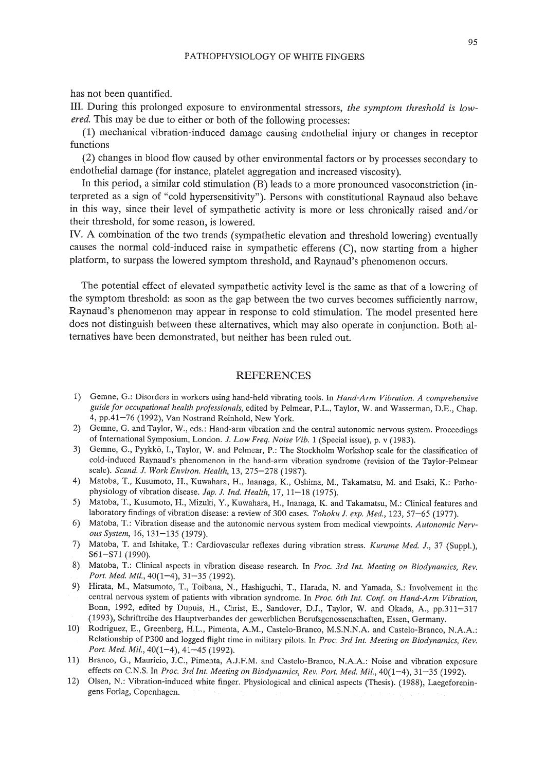has not been quantified.

III. During this prolonged exposure to environmental stressors, *the symptom threshold is lowered.* This may be due to either or both of the following processes:

(1) mechanical vibration-induced damage causing endothelial injury or changes in receptor functions

(2) changes in blood flow caused by other environmental factors or by processes secondary to endothelial damage (for instance, platelet aggregation and increased viscosity).

In this period, a similar cold stimulation (B) leads to a more pronounced vasoconstriction (interpreted as a sign of "cold hypersensitivity"). Persons with constitutional Raynaud also behave in this way, since their level of sympathetic activity is more or less chronically raised and/or their threshold, for some reason, is lowered.

IV. A combination of the two trends (sympathetic elevation and threshold lowering) eventually causes the normal cold-induced raise in sympathetic efferens (C), now starting from a higher platform, to surpass the lowered symptom threshold, and Raynaud's phenomenon occurs.

The potential effect of elevated sympathetic activity level is the same as that of a lowering of the symptom threshold: as soon as the gap between the two curves becomes sufficiently narrow, Raynaud's phenomenon may appear in response to cold stimulation. The model presented here does not distinguish between these alternatives, which may also operate in conjunction. Both alternatives have been demonstrated, but neither has been ruled out.

### REFERENCES

- 1) Gemne, G.: Disorders in workers using hand-held vibrating tools. In *Hand-Arm Vibration. A comprehensive guide for occupational health professionals,* edited by Pelmear, P.L., Taylor, W. and Wasserman, D.E., Chap. 4, pp.41-76 (1992), Van Nostrand Reinhold, New York.
- 2) Gemne, G. and Taylor, W., eds.: Hand-arm vibration and the central autonomic nervous system. Proceedings of International Symposium, London. *J. Low Freq. Noise Vib.* 1 (Special issue), p. v (1983).
- 3) Gemne, G., Pyykk6, I., Taylor, W. and Pelmear, P.: The Stockholm Workshop scale for the classification of cold-induced Raynaud's phenomenon in the hand-arm vibration syndrome (revision of the Taylor-Pelmear scale). *Scand. J. Work Environ. Health,* 13, 275-278 (1987).
- 4) Matoba, T., Kusumoto, H., Kuwahara, H., Inanaga, K., Oshima, M., Takamatsu, M. and Esaki, K.: Pathophysiology of vibration disease. *Jap. J. Ind. Health,* 17, 11-18 (1975).
- 5) Matoba, T., Kusumoto, H., Mizuki, Y., Kuwahara, H., Inanaga, K. and Takamatsu, M.: Clinical features and laboratory findings of vibration disease: a review of 300 cases. *Tohoku J. exp. Med.*, 123, 57-65 (1977).
- 6) Matoba, T.: Vibration disease and the autonomic nervous system from medical viewpoints. *Autonomic Nervous System,* 16, 131-135 (1979).
- 7) Matoba, T. and Ishitake, T.: Cardiovascular reflexes during vibration stress. *Kurume Med. J.,* 37 (Suppl.), S61-S71 (1990).
- 8) Matoba, T.: Clinical aspects in vibration disease research. In *Proc. 3rd Int. Meeting on Biodynamics, Rev. Port. Med. Mil.,* 40(1-4), 31-35 (1992).
- 9) Hirata, M., Matsumoto, T., Toibana, N., Hashiguchi, T., Harada, N. and Yamada, S.: Involvement in the central nervous system of patients with vibration syndrome. In *Proc. 6th Int. Conf on Hand-Arm Vibration,* Bonn, 1992, edited by Dupuis, H., Christ, E., Sandover, D.J., Taylor, W. and Okada, A, pp.311-317 (1993), Schriftreihe des Hauptverbandes der gewerblichen Berufsgenossenschaften, Essen, Germany.
- 10) Rodriguez, E., Greenberg, H.L., Pimenta, A.M., Castelo-Branco, M.S.N.N.A. and Castelo-Branco, N.AA.: Relationship of P300 and logged flight time in military pilots. In *Proc. 3rd Int. Meeting on Biodynamics, Rev. Port. Med. Mil.,* 40(1-4), 41-45 (1992).
- 11) Branco, G., Mauricio, J.C., Pimenta, AJ.F.M. and Castelo-Branco, N.AA: Noise and vibration exposure effects on C.N.S. In *Proc. 3rd Int. Meeting on Biodynamics, Rev. Port. Med. Mil.,* 40(1-4), 31-35 (1992).
- 12) Olsen, N.: Vibration-induced white finger. Physiological and clinical aspects (Thesis). (1988), Laegeforeningens Forlag, Copenhagen.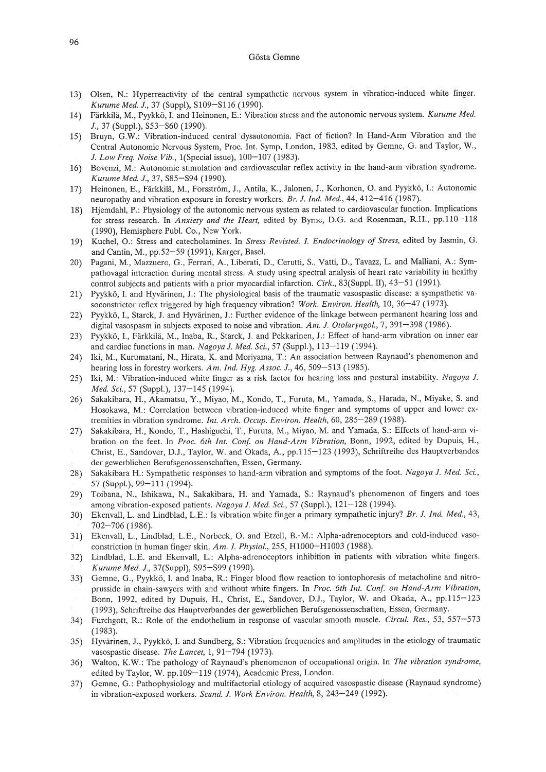#### G6sta Gemne

- 13) Olsen, N.: Hyperreactivity of the central sympathetic nervous system in vibration-induced white finger. *Kurume Med. J.,* 37 (Suppl), SI09-S116 (1990).
- 14) Fiirkkilii, M., Pyykk6, I. and Heinonen, E.: Vibration stress and the autonomic nervous system. *Kurume Med.* J., 37 (Supp!.), S53-S60 (1990).
- 15) Bruyn, G.W.: Vibration-induced central dysautonomia. Fact of fiction? In Hand-Arm Vibration and the Central Autonomic Nervous System, Proc. Int. Symp, London, 1983, edited by Gemne, G. and Taylor, W., *J. Low Freq. Noise Vib.,* I(Special issue), 100-107 (1983).
- 16) Bovenzi, M.: Autonomic stimulation and cardiovascular reflex activity in the hand-arm vibration syndrome. *Kurume Med. J.,* 37, S85-S94 (1990).
- 17) Heinonen, E., Färkkilä, M., Forsström, J., Antila, K., Jalonen, J., Korhonen, O. and Pyykkö, I.: Autonomic neuropathy and vibration exposure in forestry workers. *Br. J. Ind. Med.,* 44, 412-416 (1987).
- 18) Hjemdahl, P.: Physiology of the autonomic nervous system as related to cardiovascular function. Implications for stress research. In *Anxiety and the Heart,* edited by Byrne, D.G. and Rosenman, R.H., pp.llO-118 (1990), Hemisphere Pub!. Co., New York.
- 19) Kuchel, 0.: Stress and catecholamines. In *Stress Revisted. I. Endocrinology of Stress,* edited by Jasmin, G. and Cantin, M., pp.52-59 (1991), Karger, Base!.
- 20) Pagani, M., Mazzuero, G., Ferrari, A, Liberati, D., Cerutti, S., Valli, D., Tavazz, L. and Malliani, A: Sympathovagal interaction during mental stress. A study using spectral analysis of heart rate variability in healthy control subjects and patients with a prior myocardial infarction. *Cirk.*, 83(Suppl. II), 43-51 (1991).
- 21) Pyykkö, I. and Hyvärinen, J.: The physiological basis of the traumatic vasospastic disease: a sympathetic vasoconstrictor reflex triggered by high frequency vibration? *Work. Environ. Health,* 10,36-47 (1973).
- 22) Pyykkö, I., Starck, J. and Hyvärinen, J.: Further evidence of the linkage between permanent hearing loss and digital vasospasm in subjects exposed to noise and vibration. *Am. J. Otolaryngol.,* 7, 391-398 (1986).
- 23) Pyykkö, I., Färkkilä, M., Inaba, R., Starck, J. and Pekkarinen, J.: Effect of hand-arm vibration on inner ear and cardiac functions in man. *Nagoya J. Med. Sci.,* 57 (Supp!.), 113-119 (1994).
- 24) Iki, M., Kurumatani, N., Hirata, K. and Moriyama, T.: An association between Raynaud's phenomenon and hearing loss in forestry workers. *Am. Ind. Hyg. Assoc. J.,* 46, 509-513 (1985).
- 25) Iki, M.: Vibration-induced white finger as a risk factor for hearing loss and postural instability. *Nagoya J. Med. Sci.,* 57 (Supp!.), 137-145 (1994).
- 26) Sakakibara, H., Akamatsu, Y., Miyao, M., Kondo, T., Furuta, M., Yamada, S., Harada, N., Miyake, S. and Hosokawa, M.: Correlation between vibration-induced white finger and symptoms of upper and lower extremities in vibration syndrome. *Int. Arch. Occup. Environ. Health,* 60, 285-289 (1988).
- 27) Sakakibara, H., Kondo, T., Hashiguchi, T., Furuta, M., Miyao, M. and Yamada, S.: Effects of hand-arm vibration on the feet. In *Proc. 6th Int. Con! on Hand-Arm Vibration,* Bonn, 1992, edited by Dupuis, H., Christ, E., Sandover, OJ., Taylor, W. and Okada, A, pp.115-123 (1993), Schriftreihe des Hauptverbandes der gewerblichen Berufsgenossenschaften, Essen, Germany.
- 28) Sakakibara H.: Sympathetic responses to hand-arm vibration and symptoms of the foot. *Nagoya* 1. *Med. Sci.,* 57 (Suppl.), 99-111 (1994).
- 29) Toibana, N., Ishikawa, N., Sakakibara, H. and Yamada, S.: Raynaud's phenomenon of fingers and toes among vibration-exposed patients. *NagoyaJ. Med. Sci.,* 57 (Supp!.), 121-128 (1994).
- 30) Ekenvall, L. and Lindblad, L.E.: Is vibration white finger a primary sympathetic injury? *Br. J. Ind. Med., 43,* 702-706 (1986).
- 31) Ekenvall, L., Lindblad, L.E., Norbeck, O. and Etzell, B.-M.: Alpha-adrenoceptors and cold-induced vasoconstriction in human finger skin. *Am. J. Physiol.,* 255, H1000-HI003 (1988).
- 32) Lindblad, L.E. and Ekenvall, L.: Alpha-adrenoceptors inhibition in patients with vibration white fingers. *Kurume Med. J.,* 37(Suppl), S95-S99 (1990).
- 33) Gemne, G., Pyykk6, I. and Inaba, R.: Finger blood flow reaction to iontophoresis of metacholine and nitroprusside in chain-sawyers with and without white fingers. In *Proc. 6th Int. Con! on Hand-Arm Vibration,* Bonn, 1992, edited by Dupuis, H., Christ, E., Sandover, OJ., Taylor, W. and Okada, A., pp.115-123 (1993), Schriftreihe des Hauptverbandes der gewerblichen Berufsgenossenschaften, Essen, Germany.
- 34) Furchgott, R.: Role of the endothelium in response of vascular smooth muscle. *Circul. Res.*, 53, 557–573 (1983).
- 35) Hyvärinen, J., Pyykkö, I. and Sundberg, S.: Vibration frequencies and amplitudes in the etiology of traumatic vasospastic disease. *The Lancet,* 1,91-794 (1973).
- 36) Walton, K.W.: The pathology of Raynaud's phenomenon of occupational origin. In *The vibration syndrome,* edited by Taylor, W. pp.109-119 (1974), Academic Press, London.
- 37) Gemne, G.: Pathophysiology and multifactorial etiology of acquired vasospastic disease (Raynaud syndrome) in vibration-exposed workers. *Scand. J. Work Environ. Health,* 8, 243-249 (1992).